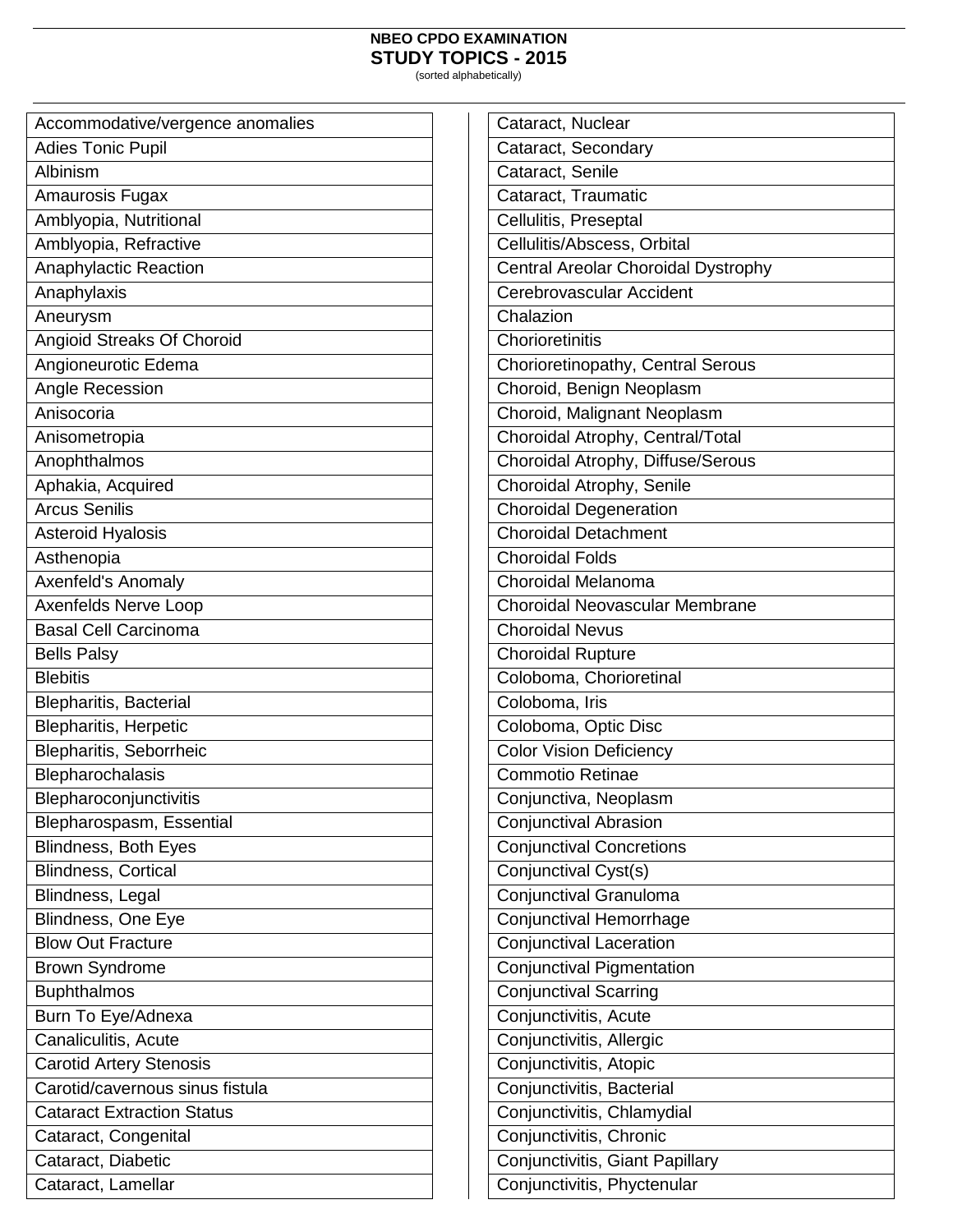| Accommodative/vergence anomalies  |
|-----------------------------------|
| <b>Adies Tonic Pupil</b>          |
| Albinism                          |
| Amaurosis Fugax                   |
| Amblyopia, Nutritional            |
| Amblyopia, Refractive             |
| Anaphylactic Reaction             |
| Anaphylaxis                       |
| Aneurysm                          |
| <b>Angioid Streaks Of Choroid</b> |
| Angioneurotic Edema               |
| Angle Recession                   |
| Anisocoria                        |
| Anisometropia                     |
| Anophthalmos                      |
| Aphakia, Acquired                 |
| Arcus Senilis                     |
| Asteroid Hyalosis                 |
| Asthenopia                        |
| <b>Axenfeld's Anomaly</b>         |
| <b>Axenfelds Nerve Loop</b>       |
| <b>Basal Cell Carcinoma</b>       |
| <b>Bells Palsy</b>                |
| <b>Blebitis</b>                   |
| <b>Blepharitis, Bacterial</b>     |
| <b>Blepharitis, Herpetic</b>      |
| Blepharitis, Seborrheic           |
| Blepharochalasis                  |
| Blepharoconjunctivitis            |
| Blepharospasm, Essential          |
| <b>Blindness, Both Eyes</b>       |
| Blindness, Cortical               |
| Blindness, Legal                  |
| <b>Blindness, One Eye</b>         |
| <b>Blow Out Fracture</b>          |
| <b>Brown Syndrome</b>             |
| <b>Buphthalmos</b>                |
| Burn To Eye/Adnexa                |
| Canaliculitis, Acute              |
| <b>Carotid Artery Stenosis</b>    |
| Carotid/cavernous sinus fistula   |
| <b>Cataract Extraction Status</b> |
| Cataract, Congenital              |
| Cataract, Diabetic                |
| Cataract, Lamellar                |

| Cataract, Nuclear                   |
|-------------------------------------|
| Cataract, Secondary                 |
| Cataract, Senile                    |
| Cataract, Traumatic                 |
| Cellulitis, Preseptal               |
| Cellulitis/Abscess, Orbital         |
| Central Areolar Choroidal Dystrophy |
| Cerebrovascular Accident            |
| Chalazion                           |
| Chorioretinitis                     |
| Chorioretinopathy, Central Serous   |
| Choroid, Benign Neoplasm            |
| Choroid, Malignant Neoplasm         |
| Choroidal Atrophy, Central/Total    |
| Choroidal Atrophy, Diffuse/Serous   |
| Choroidal Atrophy, Senile           |
| <b>Choroidal Degeneration</b>       |
| <b>Choroidal Detachment</b>         |
| <b>Choroidal Folds</b>              |
| Choroidal Melanoma                  |
| Choroidal Neovascular Membrane      |
| <b>Choroidal Nevus</b>              |
| <b>Choroidal Rupture</b>            |
| Coloboma, Chorioretinal             |
| Coloboma, Iris                      |
| Coloboma, Optic Disc                |
| <b>Color Vision Deficiency</b>      |
| Commotio Retinae                    |
| Conjunctiva, Neoplasm               |
| <b>Conjunctival Abrasion</b>        |
| <b>Conjunctival Concretions</b>     |
| Conjunctival Cyst(s)                |
| Conjunctival Granuloma              |
| Conjunctival Hemorrhage             |
| <b>Conjunctival Laceration</b>      |
| Conjunctival Pigmentation           |
| <b>Conjunctival Scarring</b>        |
| Conjunctivitis, Acute               |
| Conjunctivitis, Allergic            |
| Conjunctivitis, Atopic              |
| Conjunctivitis, Bacterial           |
| Conjunctivitis, Chlamydial          |
| Conjunctivitis, Chronic             |
| Conjunctivitis, Giant Papillary     |
| Conjunctivitis, Phyctenular         |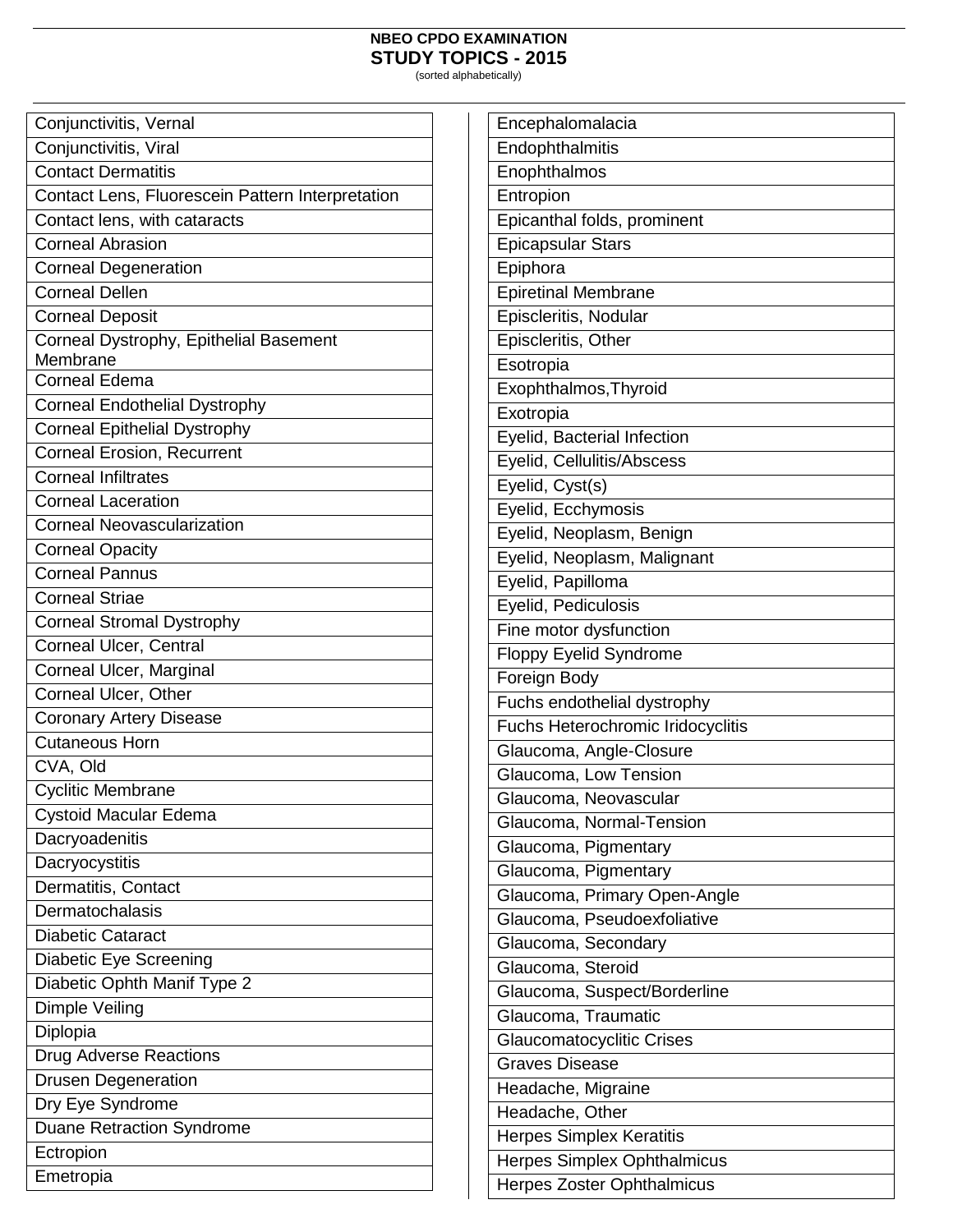| Conjunctivitis, Vernal                           |
|--------------------------------------------------|
| Conjunctivitis, Viral                            |
| Contact Dermatitis                               |
| Contact Lens, Fluorescein Pattern Interpretation |
| Contact lens, with cataracts                     |
| <b>Corneal Abrasion</b>                          |
| <b>Corneal Degeneration</b>                      |
| <b>Corneal Dellen</b>                            |
| <b>Corneal Deposit</b>                           |
| Corneal Dystrophy, Epithelial Basement           |
| Membrane                                         |
| <b>Corneal Edema</b>                             |
| <b>Corneal Endothelial Dystrophy</b>             |
| <b>Corneal Epithelial Dystrophy</b>              |
| <b>Corneal Erosion, Recurrent</b>                |
| <b>Corneal Infiltrates</b>                       |
| Corneal Laceration                               |
| <b>Corneal Neovascularization</b>                |
| <b>Corneal Opacity</b>                           |
| <b>Corneal Pannus</b>                            |
| <b>Corneal Striae</b>                            |
| <b>Corneal Stromal Dystrophy</b>                 |
| Corneal Ulcer, Central                           |
| Corneal Ulcer, Marginal                          |
| Corneal Ulcer, Other                             |
| <b>Coronary Artery Disease</b>                   |
| Cutaneous Horn                                   |
| CVA, Old                                         |
| <b>Cyclitic Membrane</b>                         |
| <b>Cystoid Macular Edema</b>                     |
| Dacryoadenitis                                   |
| Dacryocystitis                                   |
| Dermatitis, Contact                              |
| Dermatochalasis                                  |
| <b>Diabetic Cataract</b>                         |
| <b>Diabetic Eye Screening</b>                    |
| Diabetic Ophth Manif Type 2                      |
| <b>Dimple Veiling</b>                            |
| Diplopia                                         |
| <b>Drug Adverse Reactions</b>                    |
| <b>Drusen Degeneration</b>                       |
| Dry Eye Syndrome                                 |
| <b>Duane Retraction Syndrome</b>                 |
| Ectropion                                        |
| Emetropia                                        |

| Encephalomalacia                   |
|------------------------------------|
| Endophthalmitis                    |
| Enophthalmos                       |
| Entropion                          |
| Epicanthal folds, prominent        |
| <b>Epicapsular Stars</b>           |
| Epiphora                           |
| <b>Epiretinal Membrane</b>         |
| Episcleritis, Nodular              |
| Episcleritis, Other                |
| Esotropia                          |
| Exophthalmos, Thyroid              |
| Exotropia                          |
| Eyelid, Bacterial Infection        |
| Eyelid, Cellulitis/Abscess         |
| Eyelid, Cyst(s)                    |
| Eyelid, Ecchymosis                 |
| Eyelid, Neoplasm, Benign           |
| Eyelid, Neoplasm, Malignant        |
| Eyelid, Papilloma                  |
| Eyelid, Pediculosis                |
| Fine motor dysfunction             |
| <b>Floppy Eyelid Syndrome</b>      |
| Foreign Body                       |
| Fuchs endothelial dystrophy        |
| Fuchs Heterochromic Iridocyclitis  |
| Glaucoma, Angle-Closure            |
| Glaucoma, Low Tension              |
| Glaucoma, Neovascular              |
| Glaucoma, Normal-Tension           |
| Glaucoma, Pigmentary               |
| Glaucoma, Pigmentary               |
| Glaucoma, Primary Open-Angle       |
| Glaucoma, Pseudoexfoliative        |
| Glaucoma, Secondary                |
| Glaucoma, Steroid                  |
| Glaucoma, Suspect/Borderline       |
| Glaucoma, Traumatic                |
| <b>Glaucomatocyclitic Crises</b>   |
| <b>Graves Disease</b>              |
| Headache, Migraine                 |
| Headache, Other                    |
| <b>Herpes Simplex Keratitis</b>    |
| <b>Herpes Simplex Ophthalmicus</b> |
| Herpes Zoster Ophthalmicus         |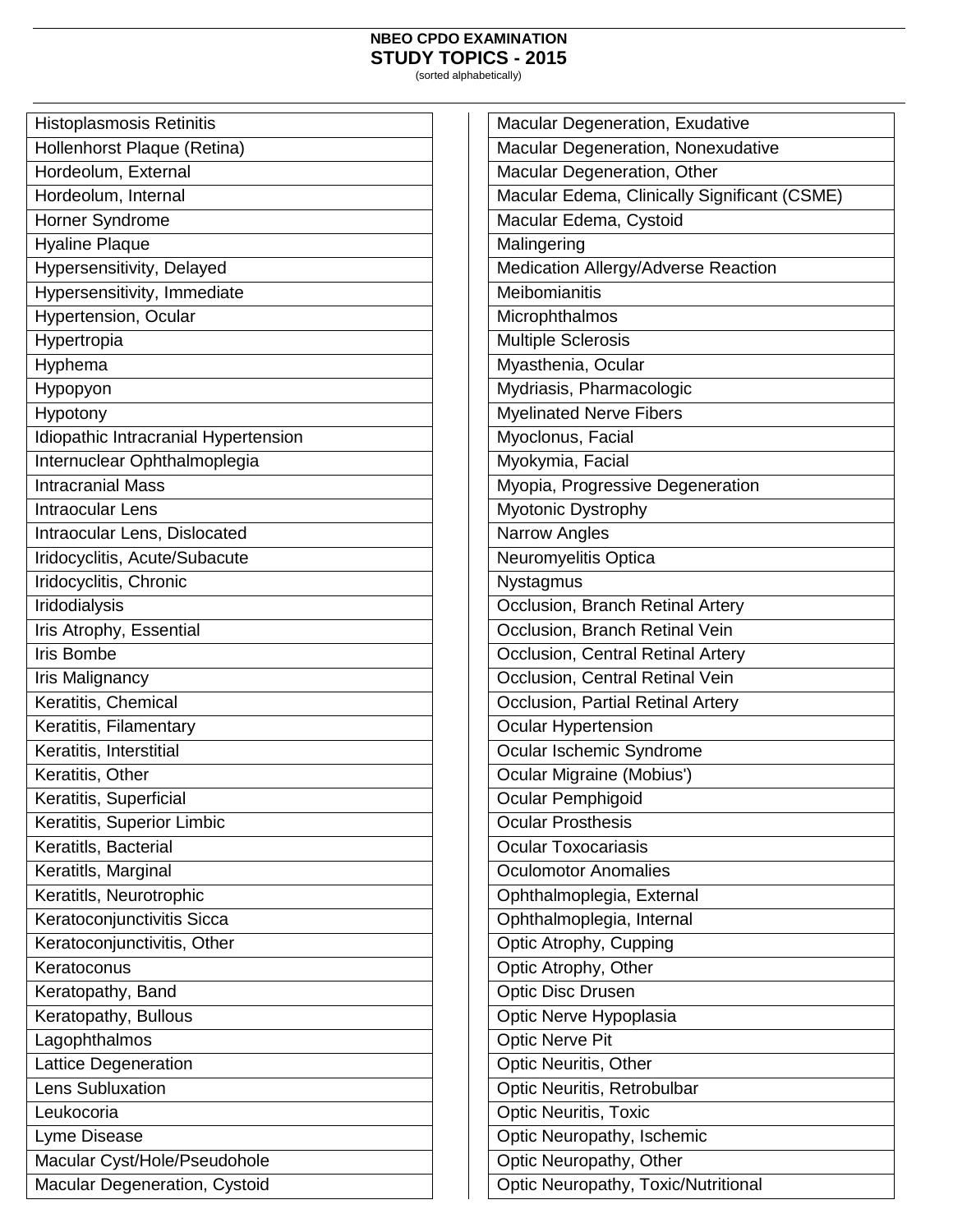| <b>Histoplasmosis Retinitis</b>      |
|--------------------------------------|
| Hollenhorst Plaque (Retina)          |
| Hordeolum, External                  |
| Hordeolum, Internal                  |
| Horner Syndrome                      |
| <b>Hyaline Plaque</b>                |
| Hypersensitivity, Delayed            |
| Hypersensitivity, Immediate          |
| Hypertension, Ocular                 |
| Hypertropia                          |
| Hyphema                              |
| Hypopyon                             |
| Hypotony                             |
| Idiopathic Intracranial Hypertension |
| Internuclear Ophthalmoplegia         |
| <b>Intracranial Mass</b>             |
| <b>Intraocular Lens</b>              |
| Intraocular Lens, Dislocated         |
| Iridocyclitis, Acute/Subacute        |
| Iridocyclitis, Chronic               |
| Iridodialysis                        |
| Iris Atrophy, Essential              |
| <b>Iris Bombe</b>                    |
| <b>Iris Malignancy</b>               |
| Keratitis, Chemical                  |
| Keratitis, Filamentary               |
| Keratitis, Interstitial              |
| Keratitis, Other                     |
| Keratitis, Superficial               |
| Keratitis, Superior Limbic           |
| Keratitls, Bacterial                 |
| Keratitls, Marginal                  |
| Keratitls, Neurotrophic              |
| Keratoconjunctivitis Sicca           |
| Keratoconjunctivitis, Other          |
| Keratoconus                          |
| Keratopathy, Band                    |
| Keratopathy, Bullous                 |
| Lagophthalmos                        |
| <b>Lattice Degeneration</b>          |
| <b>Lens Subluxation</b>              |
| Leukocoria                           |
| Lyme Disease                         |
| Macular Cyst/Hole/Pseudohole         |
| Macular Degeneration, Cystoid        |

| Macular Degeneration, Exudative              |
|----------------------------------------------|
| Macular Degeneration, Nonexudative           |
| Macular Degeneration, Other                  |
| Macular Edema, Clinically Significant (CSME) |
| Macular Edema, Cystoid                       |
| Malingering                                  |
| Medication Allergy/Adverse Reaction          |
| Meibomianitis                                |
| Microphthalmos                               |
| <b>Multiple Sclerosis</b>                    |
| Myasthenia, Ocular                           |
| Mydriasis, Pharmacologic                     |
| <b>Myelinated Nerve Fibers</b>               |
| Myoclonus, Facial                            |
| Myokymia, Facial                             |
| Myopia, Progressive Degeneration             |
| Myotonic Dystrophy                           |
| <b>Narrow Angles</b>                         |
| Neuromyelitis Optica                         |
| Nystagmus                                    |
| Occlusion, Branch Retinal Artery             |
| Occlusion, Branch Retinal Vein               |
| Occlusion, Central Retinal Artery            |
| Occlusion, Central Retinal Vein              |
| Occlusion, Partial Retinal Artery            |
| <b>Ocular Hypertension</b>                   |
| Ocular Ischemic Syndrome                     |
| <b>Ocular Migraine (Mobius')</b>             |
| Ocular Pemphigoid                            |
| <b>Ocular Prosthesis</b>                     |
| <b>Ocular Toxocariasis</b>                   |
| <b>Oculomotor Anomalies</b>                  |
| Ophthalmoplegia, External                    |
| Ophthalmoplegia, Internal                    |
| Optic Atrophy, Cupping                       |
| Optic Atrophy, Other                         |
| <b>Optic Disc Drusen</b>                     |
| Optic Nerve Hypoplasia                       |
| <b>Optic Nerve Pit</b>                       |
| Optic Neuritis, Other                        |
| Optic Neuritis, Retrobulbar                  |
| Optic Neuritis, Toxic                        |
| Optic Neuropathy, Ischemic                   |
| Optic Neuropathy, Other                      |
| Optic Neuropathy, Toxic/Nutritional          |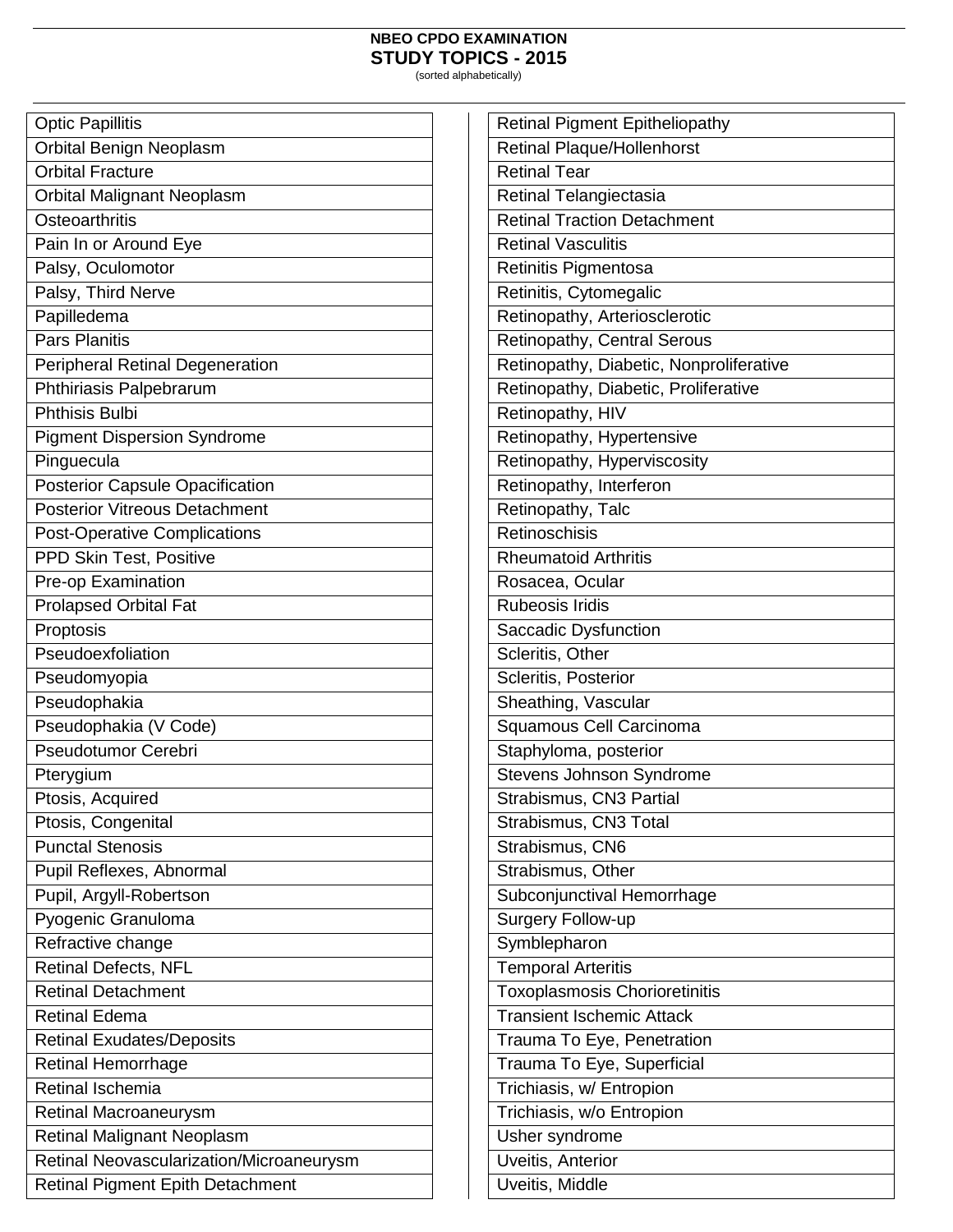| <b>Optic Papillitis</b>                  |
|------------------------------------------|
| <b>Orbital Benign Neoplasm</b>           |
| <b>Orbital Fracture</b>                  |
| <b>Orbital Malignant Neoplasm</b>        |
| Osteoarthritis                           |
| Pain In or Around Eye                    |
| Palsy, Oculomotor                        |
| Palsy, Third Nerve                       |
| Papilledema                              |
| <b>Pars Planitis</b>                     |
| Peripheral Retinal Degeneration          |
| Phthiriasis Palpebrarum                  |
| <b>Phthisis Bulbi</b>                    |
| <b>Pigment Dispersion Syndrome</b>       |
| Pinguecula                               |
| <b>Posterior Capsule Opacification</b>   |
| <b>Posterior Vitreous Detachment</b>     |
| <b>Post-Operative Complications</b>      |
| PPD Skin Test, Positive                  |
| Pre-op Examination                       |
| <b>Prolapsed Orbital Fat</b>             |
| Proptosis                                |
| Pseudoexfoliation                        |
| Pseudomyopia                             |
| Pseudophakia                             |
| Pseudophakia (V Code)                    |
| Pseudotumor Cerebri                      |
| Pterygium                                |
| Ptosis, Acquired                         |
| Ptosis, Congenital                       |
| <b>Punctal Stenosis</b>                  |
| Pupil Reflexes, Abnormal                 |
| Pupil, Argyll-Robertson                  |
| Pyogenic Granuloma                       |
| Refractive change                        |
| Retinal Defects, NFL                     |
| <b>Retinal Detachment</b>                |
| <b>Retinal Edema</b>                     |
| <b>Retinal Exudates/Deposits</b>         |
| <b>Retinal Hemorrhage</b>                |
| <b>Retinal Ischemia</b>                  |
| <b>Retinal Macroaneurysm</b>             |
| <b>Retinal Malignant Neoplasm</b>        |
| Retinal Neovascularization/Microaneurysm |
| <b>Retinal Pigment Epith Detachment</b>  |

| <b>Retinal Pigment Epitheliopathy</b>   |
|-----------------------------------------|
| Retinal Plaque/Hollenhorst              |
| <b>Retinal Tear</b>                     |
| Retinal Telangiectasia                  |
| <b>Retinal Traction Detachment</b>      |
| <b>Retinal Vasculitis</b>               |
| Retinitis Pigmentosa                    |
| Retinitis, Cytomegalic                  |
| Retinopathy, Arteriosclerotic           |
| Retinopathy, Central Serous             |
| Retinopathy, Diabetic, Nonproliferative |
| Retinopathy, Diabetic, Proliferative    |
| Retinopathy, HIV                        |
| Retinopathy, Hypertensive               |
| Retinopathy, Hyperviscosity             |
| Retinopathy, Interferon                 |
| Retinopathy, Talc                       |
| Retinoschisis                           |
| <b>Rheumatoid Arthritis</b>             |
| Rosacea, Ocular                         |
| <b>Rubeosis Iridis</b>                  |
| Saccadic Dysfunction                    |
| Scleritis, Other                        |
| Scleritis, Posterior                    |
| Sheathing, Vascular                     |
| Squamous Cell Carcinoma                 |
| Staphyloma, posterior                   |
| <b>Stevens Johnson Syndrome</b>         |
| Strabismus, CN3 Partial                 |
| Strabismus, CN3 Total                   |
| Strabismus, CN6                         |
| Strabismus, Other                       |
| Subconjunctival Hemorrhage              |
| <b>Surgery Follow-up</b>                |
| Symblepharon                            |
| <b>Temporal Arteritis</b>               |
| <b>Toxoplasmosis Chorioretinitis</b>    |
| <b>Transient Ischemic Attack</b>        |
| Trauma To Eye, Penetration              |
| Trauma To Eye, Superficial              |
| Trichiasis, w/ Entropion                |
| Trichiasis, w/o Entropion               |
| Usher syndrome                          |
| Uveitis, Anterior                       |
| Uveitis, Middle                         |